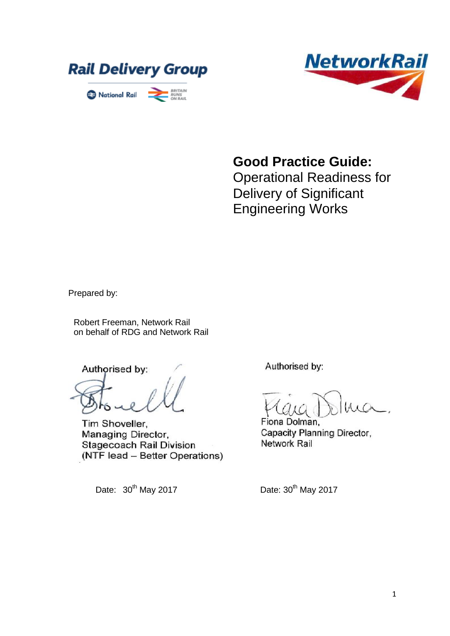



**Good Practice Guide:**

Operational Readiness for Delivery of Significant Engineering Works

Prepared by:

Robert Freeman, Network Rail on behalf of RDG and Network Rail

Authorised by:

Tim Shoveller, Managing Director, **Stagecoach Rail Division** (NTF lead - Better Operations)

Date:  $30<sup>th</sup>$  May 2017 Date:  $30<sup>th</sup>$  May 2017

Authorised by:

Fiona Dolman, Capacity Planning Director, Network Rail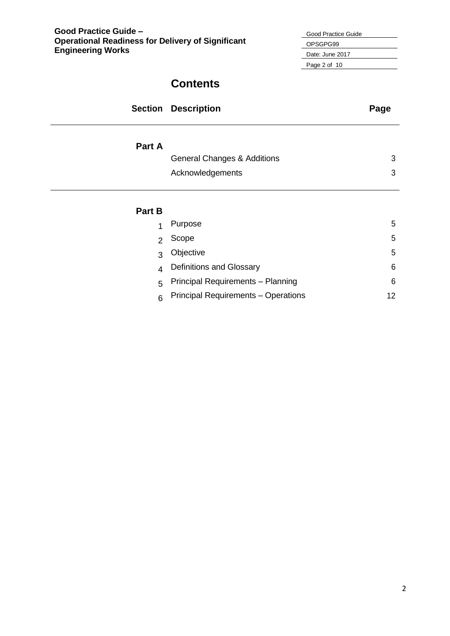| Good Practice Guide |
|---------------------|
| OPSGPG99            |
| Date: June 2017     |
| Page 2 of 10        |
|                     |

# **Contents**

|        | <b>Section Description</b>             | Page |
|--------|----------------------------------------|------|
| Part A |                                        |      |
|        | <b>General Changes &amp; Additions</b> | 3    |
|        | Acknowledgements                       | 3    |
|        |                                        |      |
| Part B |                                        |      |
| 1      | Purpose                                | 5    |

| $\overline{1}$ | Purpose                               | 5  |
|----------------|---------------------------------------|----|
| $\overline{2}$ | Scope                                 | 5. |
| $\overline{3}$ | Objective                             | 5  |
|                | 4 Definitions and Glossary            | 6  |
|                | 5 Principal Requirements - Planning   | 6  |
|                | 6 Principal Requirements – Operations | 12 |
|                |                                       |    |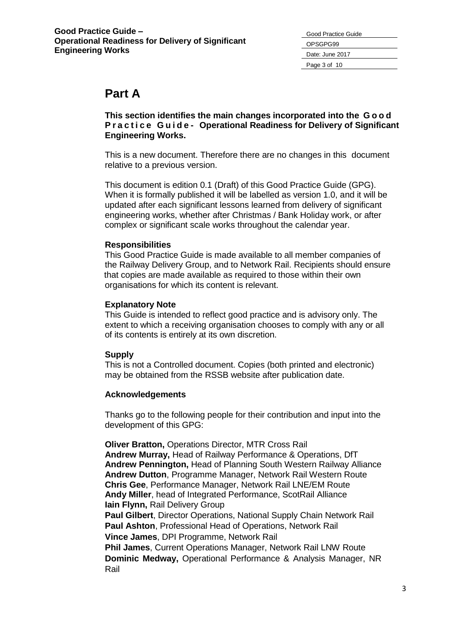| Good Practice Guide |
|---------------------|
| OPSGPG99            |
| Date: June 2017     |
| Page 3 of 10        |

# **Part A**

**This section identifies the main changes incorporated into the G o o d P r a c t i c e G u i d e - Operational Readiness for Delivery of Significant Engineering Works.**

This is a new document. Therefore there are no changes in this document relative to a previous version.

This document is edition 0.1 (Draft) of this Good Practice Guide (GPG). When it is formally published it will be labelled as version 1.0, and it will be updated after each significant lessons learned from delivery of significant engineering works, whether after Christmas / Bank Holiday work, or after complex or significant scale works throughout the calendar year.

## **Responsibilities**

This Good Practice Guide is made available to all member companies of the Railway Delivery Group, and to Network Rail. Recipients should ensure that copies are made available as required to those within their own organisations for which its content is relevant.

## **Explanatory Note**

This Guide is intended to reflect good practice and is advisory only. The extent to which a receiving organisation chooses to comply with any or all of its contents is entirely at its own discretion.

# **Supply**

This is not a Controlled document. Copies (both printed and electronic) may be obtained from the RSSB website after publication date.

# **Acknowledgements**

Thanks go to the following people for their contribution and input into the development of this GPG:

**Oliver Bratton,** Operations Director, MTR Cross Rail **Andrew Murray,** Head of Railway Performance & Operations, DfT **Andrew Pennington,** Head of Planning South Western Railway Alliance **Andrew Dutton**, Programme Manager, Network Rail Western Route **Chris Gee**, Performance Manager, Network Rail LNE/EM Route **Andy Miller**, head of Integrated Performance, ScotRail Alliance **Iain Flynn,** Rail Delivery Group **Paul Gilbert**, Director Operations, National Supply Chain Network Rail **Paul Ashton**, Professional Head of Operations, Network Rail **Vince James**, DPI Programme, Network Rail **Phil James**, Current Operations Manager, Network Rail LNW Route

**Dominic Medway,** Operational Performance & Analysis Manager, NR Rail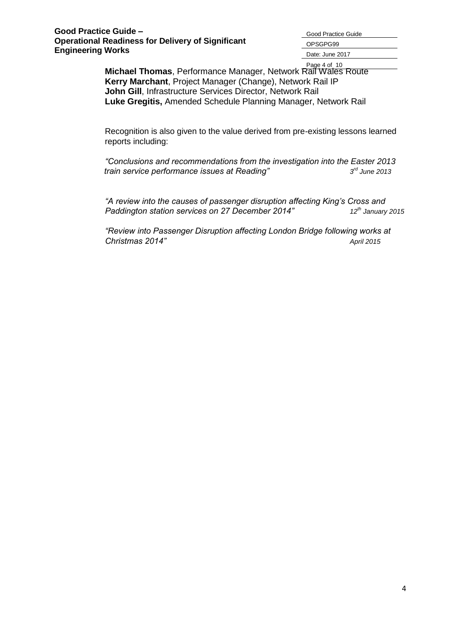Good Practice Guide OPSGPG99 Date: June 2017

Page 4 of 10 **Michael Thomas**, Performance Manager, Network Rail Wales Route **Kerry Marchant**, Project Manager (Change), Network Rail IP **John Gill**, Infrastructure Services Director, Network Rail **Luke Gregitis,** Amended Schedule Planning Manager, Network Rail

Recognition is also given to the value derived from pre-existing lessons learned reports including:

*"Conclusions and recommendations from the investigation into the Easter 2013 train service performance issues at Reading" 3 rd June 2013*

*"A review into the causes of passenger disruption affecting King's Cross and Paddington station services on 27 December 2014" 12th January 2015*

*"Review into Passenger Disruption affecting London Bridge following works at Christmas 2014" April 2015*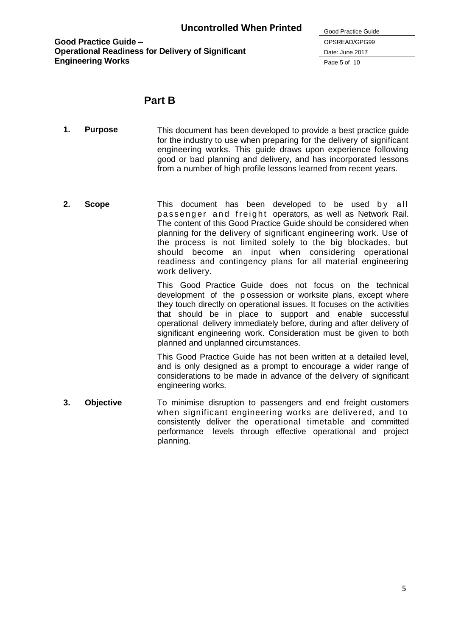| Good Practice Guide |
|---------------------|
| OPSREAD/GPG99       |
| Date: June 2017     |
| Page 5 of 10        |

# **Part B**

- **1. Purpose** This document has been developed to provide a best practice guide for the industry to use when preparing for the delivery of significant engineering works. This guide draws upon experience following good or bad planning and delivery, and has incorporated lessons from a number of high profile lessons learned from recent years.
- **2. Scope** This document has been developed to be used by all passenger and freight operators, as well as Network Rail. The content of this Good Practice Guide should be considered when planning for the delivery of significant engineering work. Use of the process is not limited solely to the big blockades, but should become an input when considering operational readiness and contingency plans for all material engineering work delivery.

This Good Practice Guide does not focus on the technical development of the p ossession or worksite plans, except where they touch directly on operational issues. It focuses on the activities that should be in place to support and enable successful operational delivery immediately before, during and after delivery of significant engineering work. Consideration must be given to both planned and unplanned circumstances.

This Good Practice Guide has not been written at a detailed level, and is only designed as a prompt to encourage a wider range of considerations to be made in advance of the delivery of significant engineering works.

**3. Objective** To minimise disruption to passengers and end freight customers when significant engineering works are delivered, and to consistently deliver the operational timetable and committed performance levels through effective operational and project planning.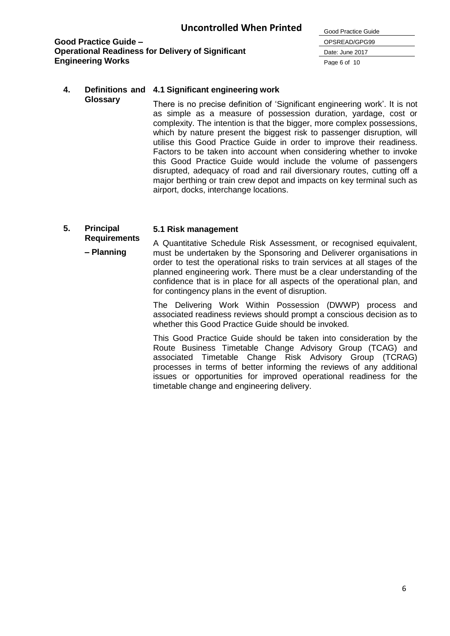

# **4. Definitions and 4.1 Significant engineering work**

**Glossary** There is no precise definition of 'Significant engineering work'. It is not as simple as a measure of possession duration, yardage, cost or complexity. The intention is that the bigger, more complex possessions, which by nature present the biggest risk to passenger disruption, will utilise this Good Practice Guide in order to improve their readiness. Factors to be taken into account when considering whether to invoke this Good Practice Guide would include the volume of passengers disrupted, adequacy of road and rail diversionary routes, cutting off a major berthing or train crew depot and impacts on key terminal such as airport, docks, interchange locations.

# **5. Principal**

#### **5.1 Risk management**

**Requirements – Planning** A Quantitative Schedule Risk Assessment, or recognised equivalent, must be undertaken by the Sponsoring and Deliverer organisations in order to test the operational risks to train services at all stages of the planned engineering work. There must be a clear understanding of the confidence that is in place for all aspects of the operational plan, and for contingency plans in the event of disruption.

> The Delivering Work Within Possession (DWWP) process and associated readiness reviews should prompt a conscious decision as to whether this Good Practice Guide should be invoked.

> This Good Practice Guide should be taken into consideration by the Route Business Timetable Change Advisory Group (TCAG) and associated Timetable Change Risk Advisory Group (TCRAG) processes in terms of better informing the reviews of any additional issues or opportunities for improved operational readiness for the timetable change and engineering delivery.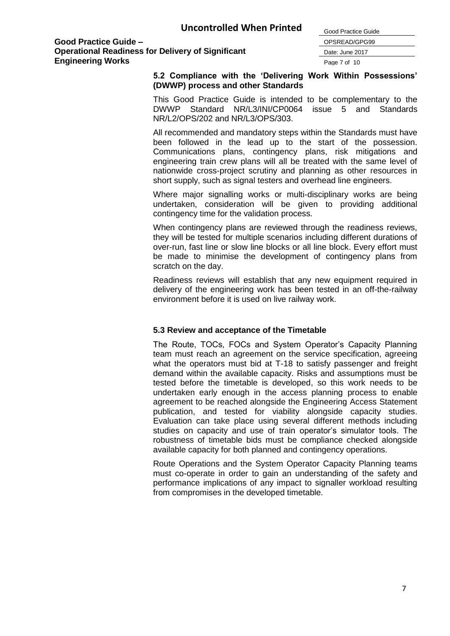Good Practice Guide OPSREAD/GPG99 Date: June 2017 Page 7 of 10

#### **5.2 Compliance with the 'Delivering Work Within Possessions' (DWWP) process and other Standards**

This Good Practice Guide is intended to be complementary to the DWWP Standard NR/L3/INI/CP0064 issue 5 and Standards NR/L2/OPS/202 and NR/L3/OPS/303.

All recommended and mandatory steps within the Standards must have been followed in the lead up to the start of the possession. Communications plans, contingency plans, risk mitigations and engineering train crew plans will all be treated with the same level of nationwide cross-project scrutiny and planning as other resources in short supply, such as signal testers and overhead line engineers.

Where major signalling works or multi-disciplinary works are being undertaken, consideration will be given to providing additional contingency time for the validation process.

When contingency plans are reviewed through the readiness reviews, they will be tested for multiple scenarios including different durations of over-run, fast line or slow line blocks or all line block. Every effort must be made to minimise the development of contingency plans from scratch on the day.

Readiness reviews will establish that any new equipment required in delivery of the engineering work has been tested in an off-the-railway environment before it is used on live railway work.

#### **5.3 Review and acceptance of the Timetable**

The Route, TOCs, FOCs and System Operator's Capacity Planning team must reach an agreement on the service specification, agreeing what the operators must bid at T-18 to satisfy passenger and freight demand within the available capacity. Risks and assumptions must be tested before the timetable is developed, so this work needs to be undertaken early enough in the access planning process to enable agreement to be reached alongside the Engineering Access Statement publication, and tested for viability alongside capacity studies. Evaluation can take place using several different methods including studies on capacity and use of train operator's simulator tools. The robustness of timetable bids must be compliance checked alongside available capacity for both planned and contingency operations.

Route Operations and the System Operator Capacity Planning teams must co-operate in order to gain an understanding of the safety and performance implications of any impact to signaller workload resulting from compromises in the developed timetable.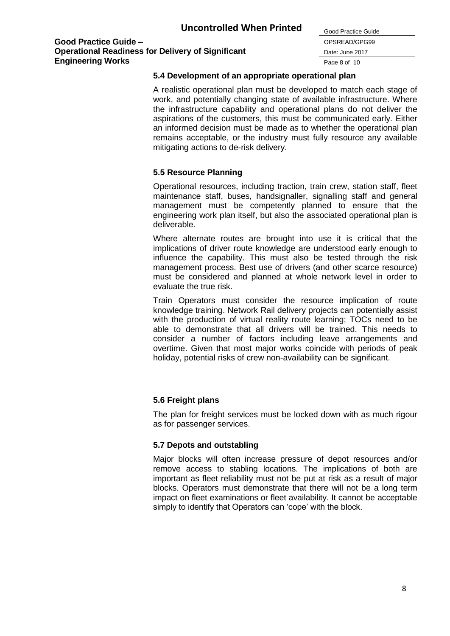| Good Practice Guide |
|---------------------|
| OPSREAD/GPG99       |
| Date: June 2017     |
| Page 8 of 10        |

#### **5.4 Development of an appropriate operational plan**

A realistic operational plan must be developed to match each stage of work, and potentially changing state of available infrastructure. Where the infrastructure capability and operational plans do not deliver the aspirations of the customers, this must be communicated early. Either an informed decision must be made as to whether the operational plan remains acceptable, or the industry must fully resource any available mitigating actions to de-risk delivery.

## **5.5 Resource Planning**

Operational resources, including traction, train crew, station staff, fleet maintenance staff, buses, handsignaller, signalling staff and general management must be competently planned to ensure that the engineering work plan itself, but also the associated operational plan is deliverable.

Where alternate routes are brought into use it is critical that the implications of driver route knowledge are understood early enough to influence the capability. This must also be tested through the risk management process. Best use of drivers (and other scarce resource) must be considered and planned at whole network level in order to evaluate the true risk.

Train Operators must consider the resource implication of route knowledge training. Network Rail delivery projects can potentially assist with the production of virtual reality route learning; TOCs need to be able to demonstrate that all drivers will be trained. This needs to consider a number of factors including leave arrangements and overtime. Given that most major works coincide with periods of peak holiday, potential risks of crew non-availability can be significant.

# **5.6 Freight plans**

The plan for freight services must be locked down with as much rigour as for passenger services.

#### **5.7 Depots and outstabling**

Major blocks will often increase pressure of depot resources and/or remove access to stabling locations. The implications of both are important as fleet reliability must not be put at risk as a result of major blocks. Operators must demonstrate that there will not be a long term impact on fleet examinations or fleet availability. It cannot be acceptable simply to identify that Operators can 'cope' with the block.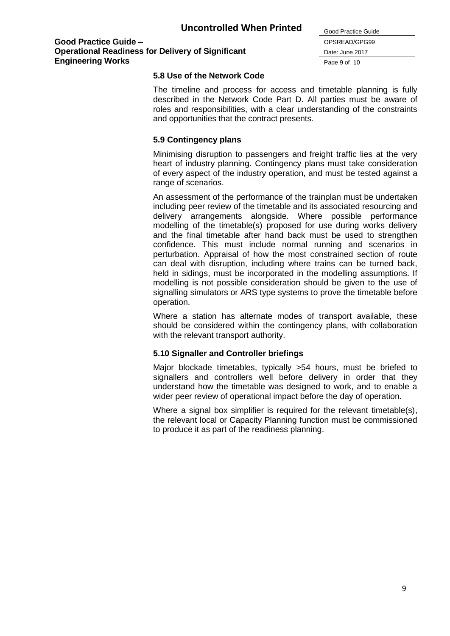| Good Practice Guide |
|---------------------|
| OPSREAD/GPG99       |
| Date: June 2017     |
| Page 9 of 10        |

#### **5.8 Use of the Network Code**

The timeline and process for access and timetable planning is fully described in the Network Code Part D. All parties must be aware of roles and responsibilities, with a clear understanding of the constraints and opportunities that the contract presents.

l.

#### **5.9 Contingency plans**

Minimising disruption to passengers and freight traffic lies at the very heart of industry planning. Contingency plans must take consideration of every aspect of the industry operation, and must be tested against a range of scenarios.

An assessment of the performance of the trainplan must be undertaken including peer review of the timetable and its associated resourcing and delivery arrangements alongside. Where possible performance modelling of the timetable(s) proposed for use during works delivery and the final timetable after hand back must be used to strengthen confidence. This must include normal running and scenarios in perturbation. Appraisal of how the most constrained section of route can deal with disruption, including where trains can be turned back, held in sidings, must be incorporated in the modelling assumptions. If modelling is not possible consideration should be given to the use of signalling simulators or ARS type systems to prove the timetable before operation.

Where a station has alternate modes of transport available, these should be considered within the contingency plans, with collaboration with the relevant transport authority.

#### **5.10 Signaller and Controller briefings**

Major blockade timetables, typically >54 hours, must be briefed to signallers and controllers well before delivery in order that they understand how the timetable was designed to work, and to enable a wider peer review of operational impact before the day of operation.

Where a signal box simplifier is required for the relevant timetable(s), the relevant local or Capacity Planning function must be commissioned to produce it as part of the readiness planning.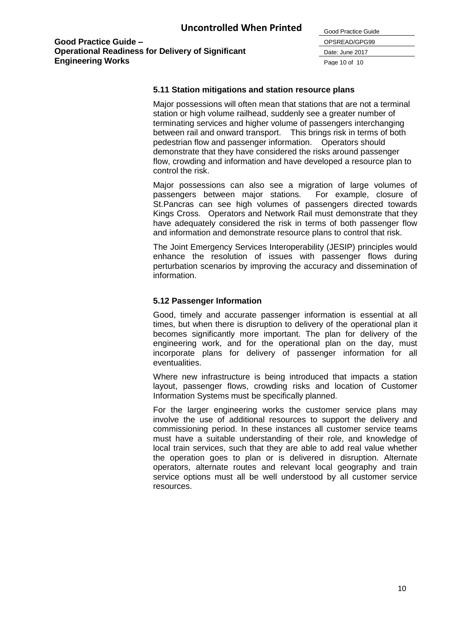| Good Practice Guide |
|---------------------|
| OPSREAD/GPG99       |
| Date: June 2017     |
| Page 10 of 10       |

#### **5.11 Station mitigations and station resource plans**

Major possessions will often mean that stations that are not a terminal station or high volume railhead, suddenly see a greater number of terminating services and higher volume of passengers interchanging between rail and onward transport. This brings risk in terms of both pedestrian flow and passenger information. Operators should demonstrate that they have considered the risks around passenger flow, crowding and information and have developed a resource plan to control the risk.

Major possessions can also see a migration of large volumes of passengers between major stations. For example, closure of St.Pancras can see high volumes of passengers directed towards Kings Cross. Operators and Network Rail must demonstrate that they have adequately considered the risk in terms of both passenger flow and information and demonstrate resource plans to control that risk.

The Joint Emergency Services Interoperability (JESIP) principles would enhance the resolution of issues with passenger flows during perturbation scenarios by improving the accuracy and dissemination of information.

#### **5.12 Passenger Information**

Good, timely and accurate passenger information is essential at all times, but when there is disruption to delivery of the operational plan it becomes significantly more important. The plan for delivery of the engineering work, and for the operational plan on the day, must incorporate plans for delivery of passenger information for all eventualities.

Where new infrastructure is being introduced that impacts a station layout, passenger flows, crowding risks and location of Customer Information Systems must be specifically planned.

For the larger engineering works the customer service plans may involve the use of additional resources to support the delivery and commissioning period. In these instances all customer service teams must have a suitable understanding of their role, and knowledge of local train services, such that they are able to add real value whether the operation goes to plan or is delivered in disruption. Alternate operators, alternate routes and relevant local geography and train service options must all be well understood by all customer service resources.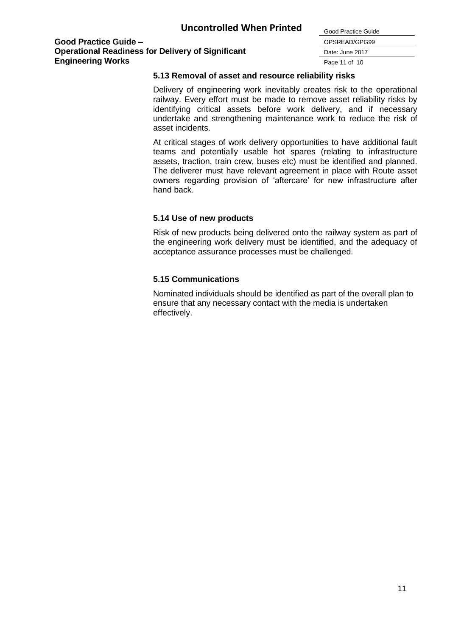| Good Practice Guide |
|---------------------|
| OPSREAD/GPG99       |
| Date: June 2017     |
| Page 11 of 10       |

#### **5.13 Removal of asset and resource reliability risks**

Delivery of engineering work inevitably creates risk to the operational railway. Every effort must be made to remove asset reliability risks by identifying critical assets before work delivery, and if necessary undertake and strengthening maintenance work to reduce the risk of asset incidents.

At critical stages of work delivery opportunities to have additional fault teams and potentially usable hot spares (relating to infrastructure assets, traction, train crew, buses etc) must be identified and planned. The deliverer must have relevant agreement in place with Route asset owners regarding provision of 'aftercare' for new infrastructure after hand back.

#### **5.14 Use of new products**

Risk of new products being delivered onto the railway system as part of the engineering work delivery must be identified, and the adequacy of acceptance assurance processes must be challenged.

## **5.15 Communications**

Nominated individuals should be identified as part of the overall plan to ensure that any necessary contact with the media is undertaken effectively.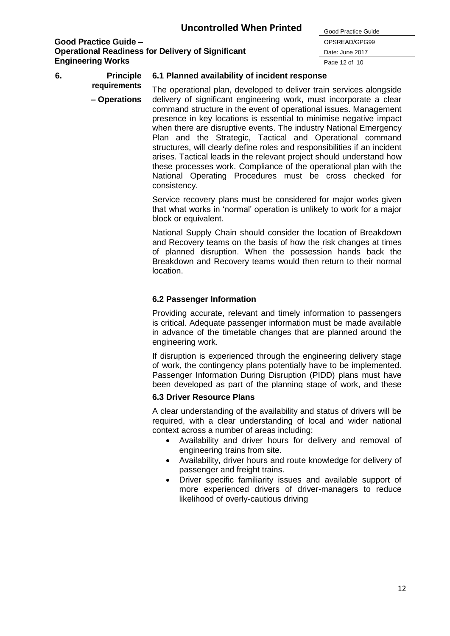| Good Practice Guide |
|---------------------|
| OPSREAD/GPG99       |
| Date: June 2017     |
| Page 12 of 10       |

**6. Principle 6.1 Planned availability of incident response**

> **requirements – Operations** The operational plan, developed to deliver train services alongside delivery of significant engineering work, must incorporate a clear command structure in the event of operational issues. Management presence in key locations is essential to minimise negative impact when there are disruptive events. The industry National Emergency Plan and the Strategic, Tactical and Operational command structures, will clearly define roles and responsibilities if an incident arises. Tactical leads in the relevant project should understand how these processes work. Compliance of the operational plan with the National Operating Procedures must be cross checked for consistency.

> > Service recovery plans must be considered for major works given that what works in 'normal' operation is unlikely to work for a major block or equivalent.

> > National Supply Chain should consider the location of Breakdown and Recovery teams on the basis of how the risk changes at times of planned disruption. When the possession hands back the Breakdown and Recovery teams would then return to their normal location.

# **6.2 Passenger Information**

Providing accurate, relevant and timely information to passengers is critical. Adequate passenger information must be made available in advance of the timetable changes that are planned around the engineering work.

If disruption is experienced through the engineering delivery stage of work, the contingency plans potentially have to be implemented. Passenger Information During Disruption (PIDD) plans must have been developed as part of the planning stage of work, and these

# **6.3 Driver Resource Plans**

suitable contingency plan to address the cause of the disruption, A clear understanding of the availability and status of drivers will be required, with a clear understanding of local and wider national context across a number of areas including:

- Availability and driver hours for delivery and removal of engineering trains from site.
- Availability, driver hours and route knowledge for delivery of passenger and freight trains.
- Driver specific familiarity issues and available support of more experienced drivers of driver-managers to reduce likelihood of overly-cautious driving